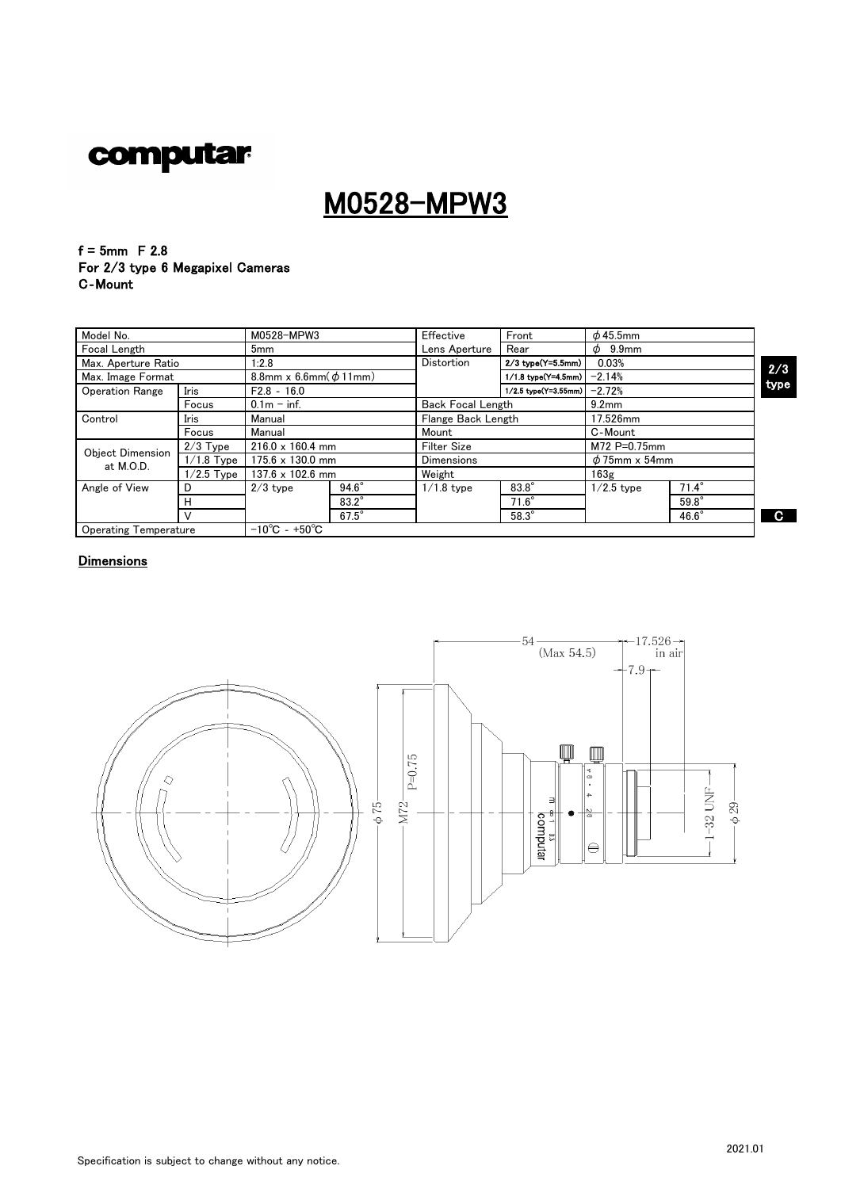## M0528-MPW3

#### $f = 5$ mm F 2.8 For 2/3 type 6 Megapixel Cameras C‐Mount

| Model No.                    |                     | M0528-MPW3                         |              | Effective          | Front                    | $\phi$ 45.5mm      |                   |              |
|------------------------------|---------------------|------------------------------------|--------------|--------------------|--------------------------|--------------------|-------------------|--------------|
| Focal Length                 |                     | 5 <sub>mm</sub>                    |              | Lens Aperture      | Rear                     | $\phi$ 9.9mm       |                   |              |
|                              | Max. Aperture Ratio |                                    | 1:2.8        |                    | $2/3$ type(Y=5.5mm)      | 0.03%              |                   |              |
| Max. Image Format            |                     | 8.8mm x 6.6mm $(\phi 11$ mm)       |              |                    | 1/1.8 type(Y=4.5mm)      | $-2.14%$           |                   | 2/3<br>type  |
| <b>Operation Range</b>       | Iris                | $F2.8 - 16.0$                      |              |                    | 1/2.5 type(Y=3.55mm)     |                    | $-2.72%$          |              |
|                              | Focus               | $0.1m - inf$ .                     |              |                    | <b>Back Focal Length</b> |                    | 9.2 <sub>mm</sub> |              |
| Control                      | <b>Iris</b>         | Manual                             |              |                    | Flange Back Length       |                    | 17.526mm          |              |
|                              | Focus               | Manual                             |              | Mount              |                          | C-Mount            |                   |              |
| <b>Object Dimension</b>      | $2/3$ Type          | $216.0 \times 160.4$ mm            |              | <b>Filter Size</b> |                          | M72 P=0.75mm       |                   |              |
| at M.O.D.                    | $1/1.8$ Type        | $175.6 \times 130.0$ mm            |              | <b>Dimensions</b>  |                          | $\phi$ 75mm x 54mm |                   |              |
|                              | $1/2.5$ Type        | $137.6 \times 102.6$ mm            |              | Weight             |                          | 163g               |                   |              |
| Angle of View                | D                   | $2/3$ type                         | $94.6^\circ$ | $1/1.8$ type       | $83.8^\circ$             | $1/2.5$ type       | $71.4^\circ$      |              |
|                              | н                   |                                    | $83.2^\circ$ |                    | $71.6^\circ$             |                    | $59.8^\circ$      |              |
|                              |                     |                                    | $67.5^\circ$ |                    | $58.3^\circ$             |                    | $46.6^\circ$      | $\mathbf{C}$ |
| <b>Operating Temperature</b> |                     | $-10^{\circ}$ C - +50 $^{\circ}$ C |              |                    |                          |                    |                   |              |

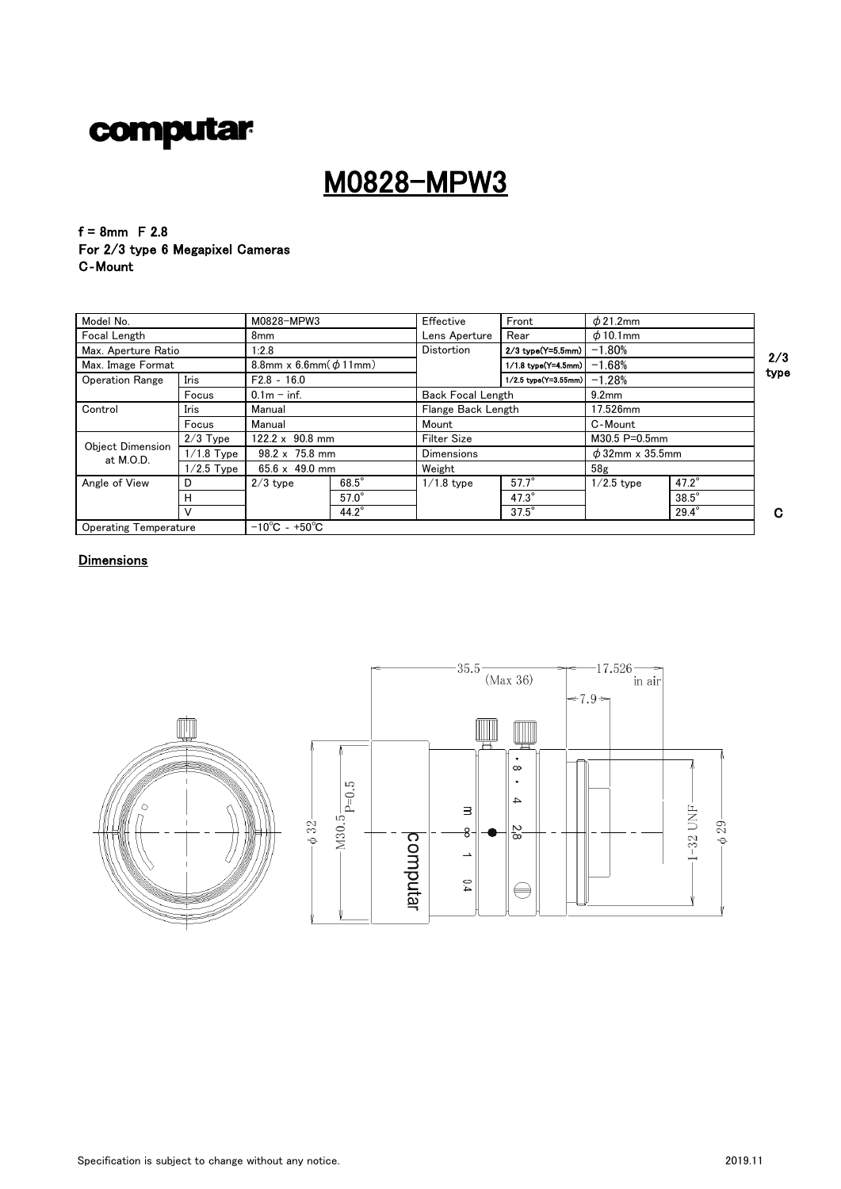## M0828-MPW3

 $f = 8$ mm F 2.8 For 2/3 type 6 Megapixel Cameras C‐Mount

| Model No.                     |              | M0828-MPW3                         |                       | Effective           | Front                                         | $\phi$ 21.2mm   |                      |      |
|-------------------------------|--------------|------------------------------------|-----------------------|---------------------|-----------------------------------------------|-----------------|----------------------|------|
| Focal Length                  |              |                                    | 8mm                   |                     | Rear                                          | $\phi$ 10.1mm   |                      |      |
| Max. Aperture Ratio           |              |                                    | Distortion<br>1:2.8   |                     | 2/3 type(Y=5.5mm)                             | $-1.80%$        |                      | 2/3  |
| Max. Image Format             |              | 8.8mm x 6.6mm $(\phi 11$ mm)       |                       | 1/1.8 type(Y=4.5mm) |                                               | $-1.68%$        |                      |      |
| <b>Operation Range</b>        | Iris         | $F2.8 - 16.0$                      |                       |                     | 1/2.5 type(Y=3.55mm)                          | $-1.28%$        |                      | type |
|                               | Focus        | $0.1m - inf.$                      |                       |                     | <b>Back Focal Length</b><br>9.2 <sub>mm</sub> |                 |                      |      |
| Control                       | Iris         | Manual                             |                       |                     | Flange Back Length                            |                 |                      |      |
|                               | Focus        | Manual                             |                       | Mount               |                                               | C-Mount         |                      |      |
|                               | $2/3$ Type   | $122.2 \times 90.8$ mm             |                       | Filter Size         |                                               | M30.5 P=0.5mm   |                      |      |
| Object Dimension<br>at M.O.D. | $1/1.8$ Type |                                    | $98.2 \times 75.8$ mm |                     | <b>Dimensions</b>                             |                 | $\phi$ 32mm x 35.5mm |      |
|                               | $1/2.5$ Type | $65.6 \times 49.0 \text{ mm}$      |                       | Weight              |                                               | 58 <sub>g</sub> |                      |      |
| Angle of View                 | D            | $2/3$ type                         | $68.5^\circ$          | $1/1.8$ type        | $57.7^\circ$                                  | $1/2.5$ type    | $47.2^\circ$         |      |
|                               | н            |                                    | $57.0^\circ$          |                     | $47.3^\circ$                                  |                 | $38.5^\circ$         |      |
|                               |              |                                    | $44.2^\circ$          |                     | $37.5^\circ$                                  |                 | $29.4^\circ$         | C.   |
| <b>Operating Temperature</b>  |              | $-10^{\circ}$ C - +50 $^{\circ}$ C |                       |                     |                                               |                 |                      |      |



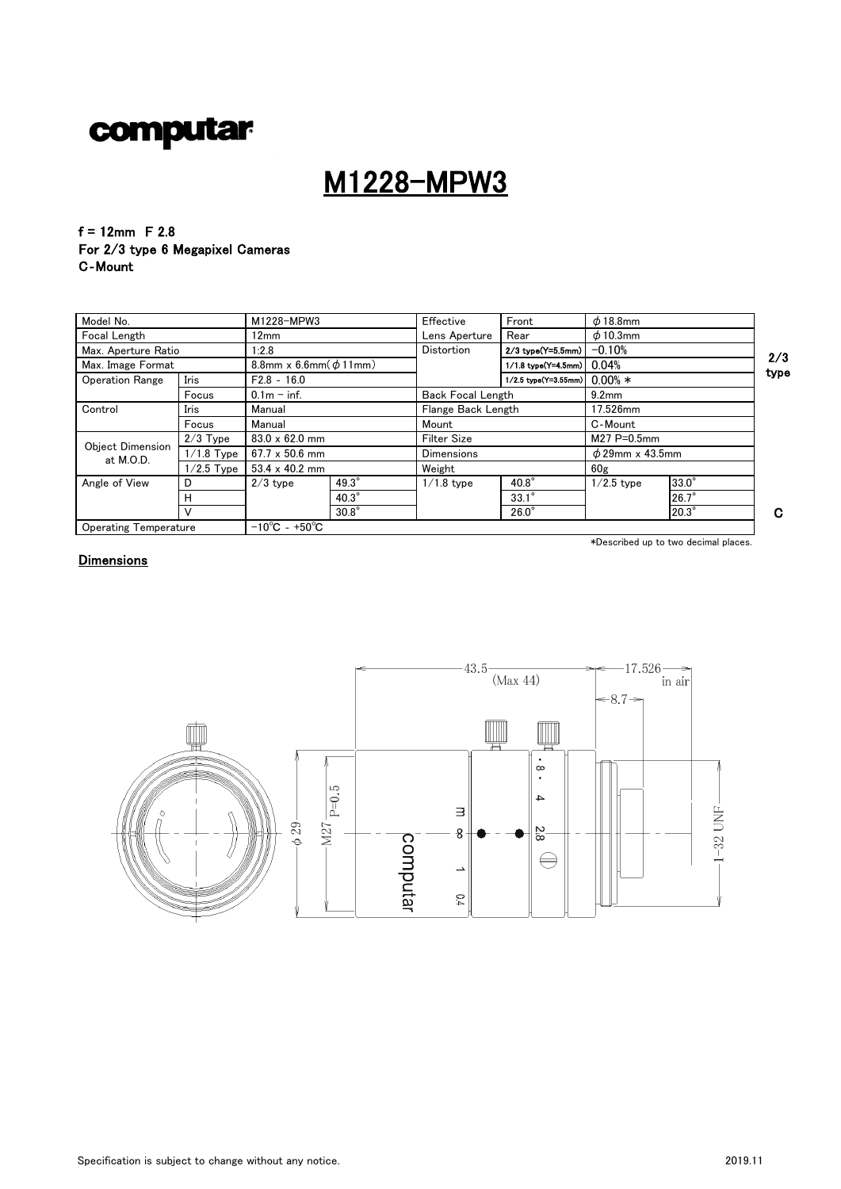## M1228-MPW3

 $f = 12$ mm F 2.8 For 2/3 type 6 Megapixel Cameras C‐Mount

| Model No.                     |              | M1228-MPW3                         |              | Effective                | Front                | $\phi$ 18.8mm        |              |      |
|-------------------------------|--------------|------------------------------------|--------------|--------------------------|----------------------|----------------------|--------------|------|
| Focal Length                  |              |                                    | 12mm         |                          | Rear                 | $\phi$ 10.3mm        |              |      |
| Max. Aperture Ratio           |              |                                    | 1:2.8        |                          | $2/3$ type(Y=5.5mm)  | $-0.10%$             |              | 2/3  |
| Max. Image Format             |              | 8.8mm x 6.6mm $(\phi 11$ mm)       |              |                          | 1/1.8 type(Y=4.5mm)  | 0.04%                |              |      |
| <b>Operation Range</b>        | Iris         | $F2.8 - 16.0$                      |              |                          | 1/2.5 type(Y=3.55mm) | $0.00\% *$           |              | type |
|                               | Focus        | $0.1m - inf$ .                     |              | <b>Back Focal Length</b> |                      | 9.2 <sub>mm</sub>    |              |      |
| Control                       | Iris         | Manual                             |              | Flange Back Length       |                      | 17.526mm             |              |      |
|                               | Focus        | Manual                             |              | Mount                    |                      | C-Mount              |              |      |
|                               | $2/3$ Type   | $83.0 \times 62.0$ mm              |              | <b>Filter Size</b>       |                      | M27 P=0.5mm          |              |      |
| Object Dimension<br>at M.O.D. | $1/1.8$ Type | $67.7 \times 50.6$ mm              |              | <b>Dimensions</b>        |                      | $\phi$ 29mm x 43.5mm |              |      |
|                               | $1/2.5$ Type | $53.4 \times 40.2$ mm              |              | Weight                   |                      | 60 <sub>g</sub>      |              |      |
| Angle of View                 | D            | $2/3$ type                         | $49.3^\circ$ | $1/1.8$ type             | $40.8^\circ$         | $1/2.5$ type         | 33.0°        |      |
|                               | н            |                                    | $40.3^\circ$ |                          | $33.1^\circ$         |                      | $26.7^\circ$ |      |
|                               |              |                                    | $30.8^\circ$ |                          | $26.0^\circ$         |                      | 20.3°        | G    |
| <b>Operating Temperature</b>  |              | $-10^{\circ}$ C - +50 $^{\circ}$ C |              |                          |                      |                      |              |      |

\*Described up to two decimal places.

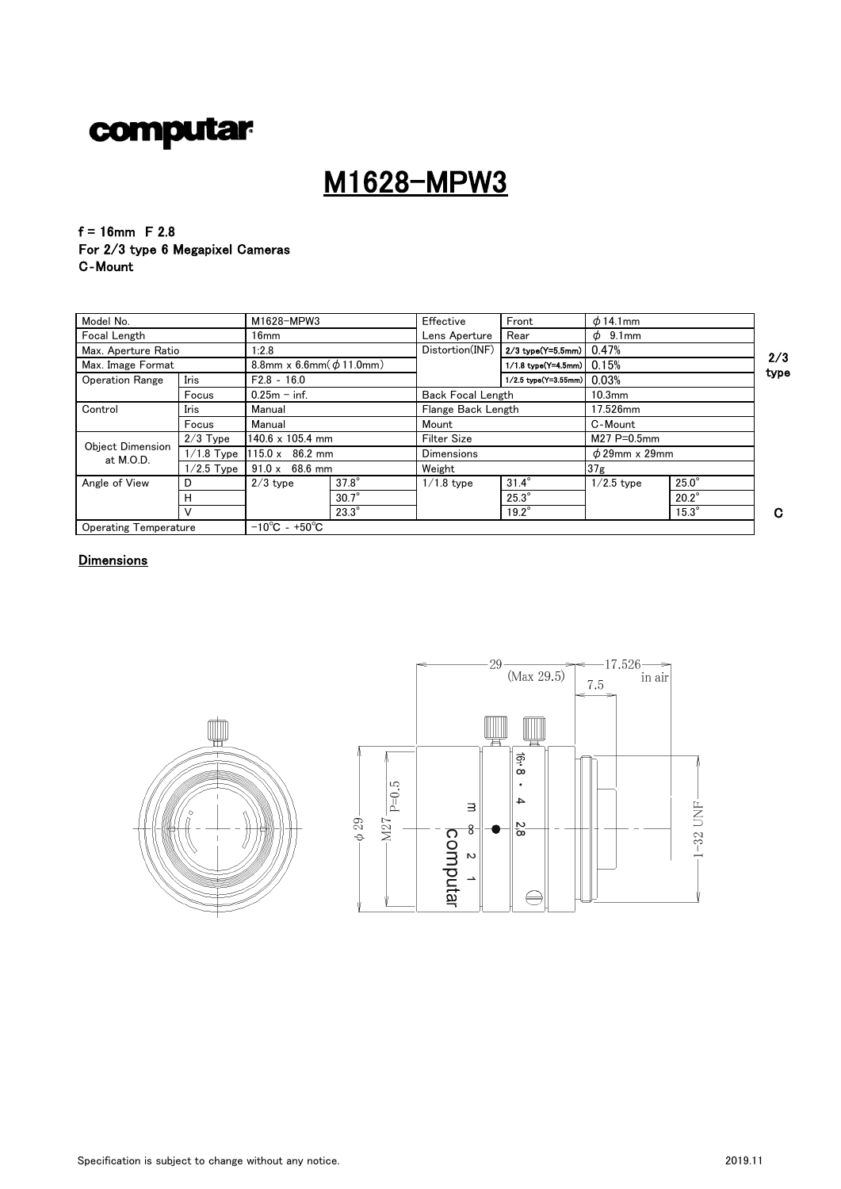## M1628-MPW3

 $f = 16$ mm F 2.8 For 2/3 type 6 Megapixel Cameras C‐Mount

| Model No.                     |              | M1628-MPW3                         |              | Effective                | Front                | $\phi$ 14.1mm      |              |      |  |
|-------------------------------|--------------|------------------------------------|--------------|--------------------------|----------------------|--------------------|--------------|------|--|
| <b>Focal Length</b>           |              | 16mm                               |              | Lens Aperture            | Rear                 | $\phi$ 9.1 mm      |              |      |  |
| Max. Aperture Ratio           |              |                                    |              | Distortion(INF)          | 2/3 type(Y=5.5mm)    | 0.47%              |              | 2/3  |  |
| Max. Image Format             |              | 8.8mm x 6.6mm $(\phi 11.0$ mm)     |              |                          | 1/1.8 type(Y=4.5mm)  | 0.15%              |              |      |  |
| <b>Operation Range</b>        | Iris         | $F2.8 - 16.0$                      |              |                          | 1/2.5 type(Y=3.55mm) | 0.03%              |              | type |  |
|                               | Focus        | $0.25m - inf.$                     |              | <b>Back Focal Length</b> |                      | 10.3 <sub>mm</sub> |              |      |  |
| Control                       | Iris         | Manual                             |              | Flange Back Length       |                      | 17.526mm           |              |      |  |
|                               | Focus        | Manual                             |              | Mount                    |                      | C-Mount            |              |      |  |
|                               | $2/3$ Type   | $140.6 \times 105.4$ mm            |              | <b>Filter Size</b>       |                      | M27 P=0.5mm        |              |      |  |
| Object Dimension<br>at M.O.D. | $1/1.8$ Type | $115.0 \times 86.2 \text{ mm}$     |              | <b>Dimensions</b>        |                      | $\phi$ 29mm x 29mm |              |      |  |
|                               | $1/2.5$ Type | $91.0 \times 68.6$ mm              |              | Weight                   |                      | 37 <sub>g</sub>    |              |      |  |
| Angle of View                 | D            | $2/3$ type                         | $37.8^\circ$ | $1/1.8$ type             | $31.4^\circ$         | $1/2.5$ type       | $25.0^\circ$ |      |  |
|                               | н            |                                    | $30.7^\circ$ |                          | $25.3^\circ$         |                    | $20.2^\circ$ |      |  |
|                               |              |                                    | $23.3^\circ$ |                          | $19.2^\circ$         |                    | $15.3^\circ$ | C    |  |
| <b>Operating Temperature</b>  |              | $-10^{\circ}$ C - +50 $^{\circ}$ C |              |                          |                      |                    |              |      |  |



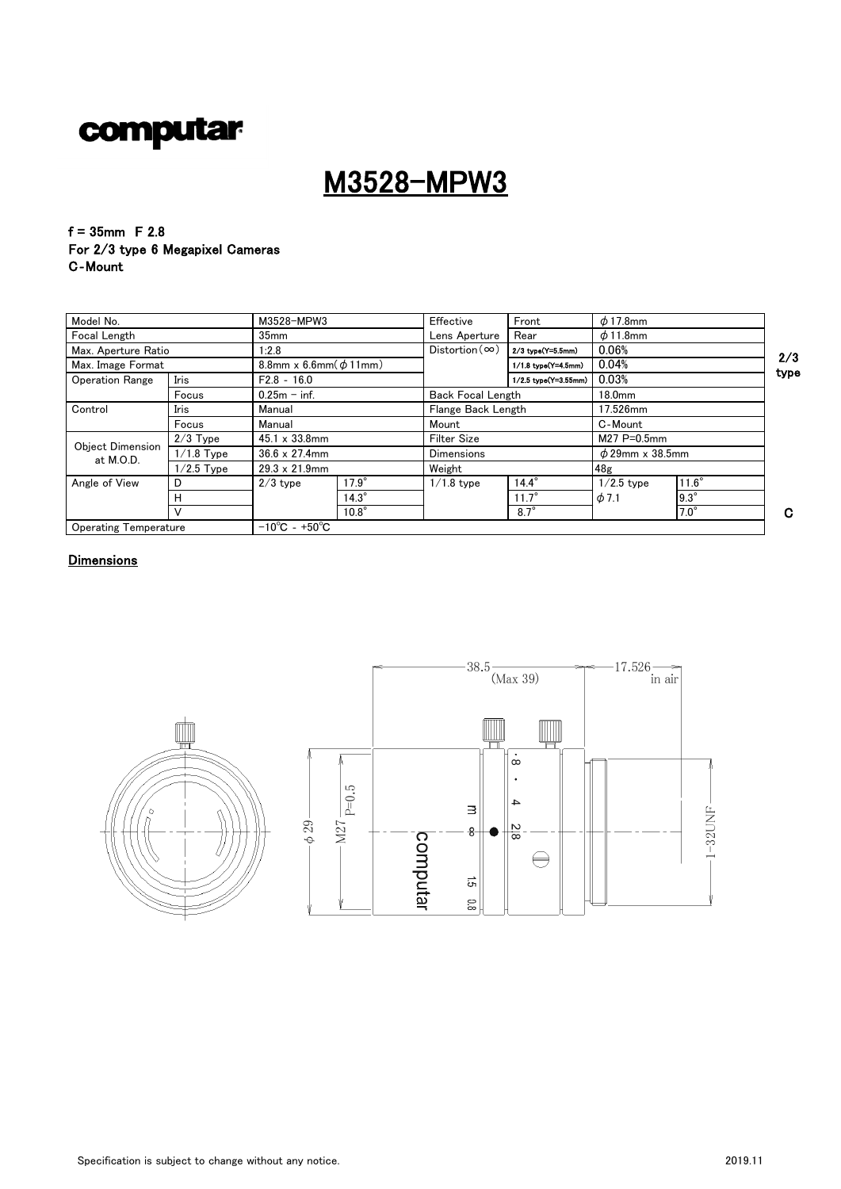

## M3528-MPW3

 $f = 35$ mm F 2.8 For 2/3 type 6 Megapixel Cameras C‐Mount

| Model No.                            |              |                                    | M3528-MPW3<br>Effective       |                    | Front                         | $\phi$ 17.8mm        |              |     |
|--------------------------------------|--------------|------------------------------------|-------------------------------|--------------------|-------------------------------|----------------------|--------------|-----|
| Focal Length                         |              |                                    | 35 <sub>mm</sub>              |                    | Rear                          | $\phi$ 11.8mm        |              |     |
| Max. Aperture Ratio                  |              |                                    | $Distortion(\infty)$<br>1:2.8 |                    | 2/3 type(Y=5.5mm)             | 0.06%                |              | 2/  |
| Max. Image Format                    |              | 8.8mm x 6.6mm $(\phi 11$ mm)       |                               |                    | 1/1.8 type(Y=4.5mm)           | 0.04%                |              |     |
| <b>Operation Range</b>               | Iris         | $F2.8 - 16.0$                      | $0.25m - inf.$                |                    | 0.03%<br>1/2.5 type(Y=3.55mm) |                      |              | typ |
|                                      | Focus        |                                    |                               |                    | <b>Back Focal Length</b>      |                      | 18.0mm       |     |
| Control                              | Iris         | Manual                             |                               | Flange Back Length |                               | 17.526mm             |              |     |
|                                      | Focus        | Manual                             |                               | Mount              |                               | C-Mount              |              |     |
|                                      | $2/3$ Type   | $45.1 \times 33.8$ mm              |                               | <b>Filter Size</b> |                               | M27 P=0.5mm          |              |     |
| <b>Object Dimension</b><br>at M.O.D. | $1/1.8$ Type | $36.6 \times 27.4$ mm              |                               | <b>Dimensions</b>  |                               | $\phi$ 29mm x 38.5mm |              |     |
|                                      | $1/2.5$ Type | $29.3 \times 21.9$ mm              |                               | Weight             |                               | 48 <sub>g</sub>      |              |     |
| Angle of View                        | D            | $2/3$ type                         | $17.9^\circ$                  | $1/1.8$ type       | $14.4^\circ$                  | $1/2.5$ type         | $11.6^\circ$ |     |
|                                      | н            |                                    | $14.3^\circ$                  |                    | $11.7^\circ$                  | $\phi$ 7.1           | $9.3^\circ$  |     |
|                                      |              |                                    | $10.8^\circ$                  |                    | $8.7^\circ$                   |                      | $7.0^\circ$  | C   |
| <b>Operating Temperature</b>         |              | $-10^{\circ}$ C - +50 $^{\circ}$ C |                               |                    |                               |                      |              |     |



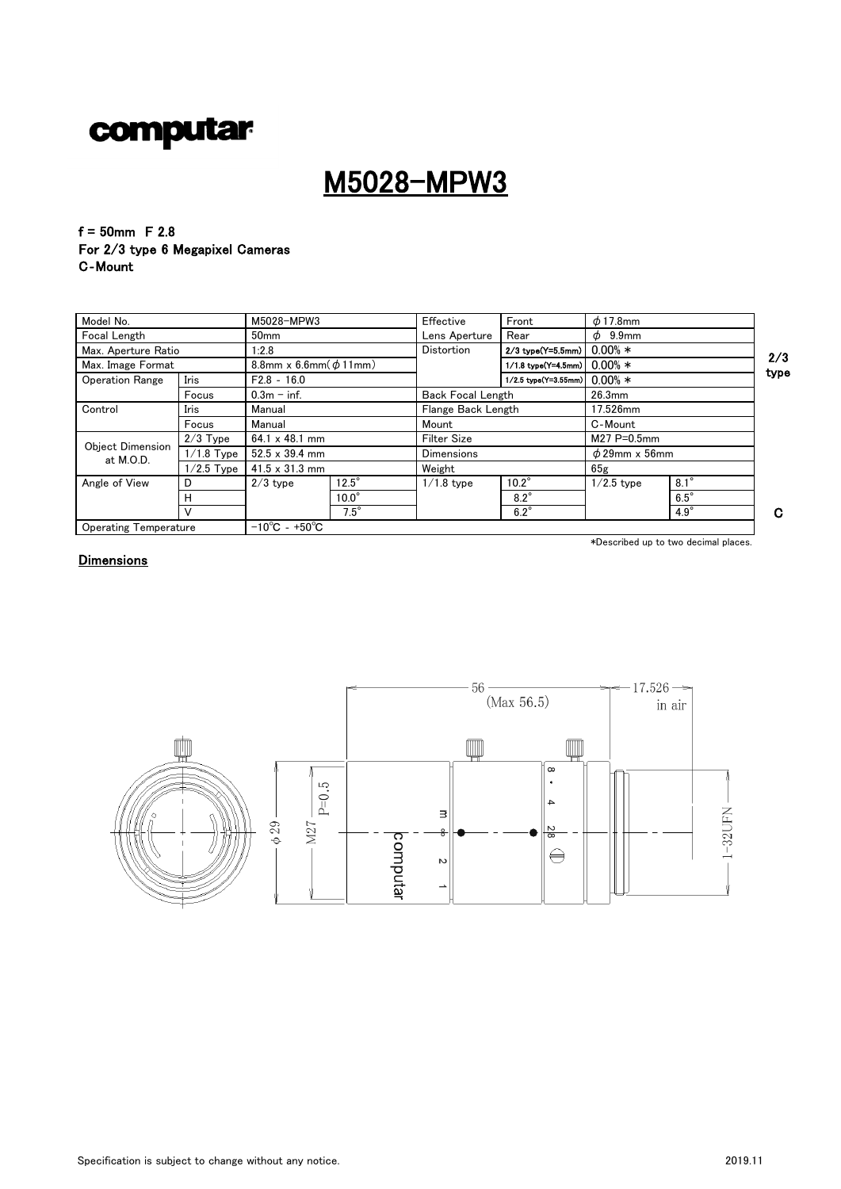## M5028-MPW3

 $f = 50$ mm F 2.8 For 2/3 type 6 Megapixel Cameras C‐Mount

| Model No.                     |              | M5028-MPW3                         |              | Effective                | Front                          | $\phi$ 17.8mm      |             |      |  |
|-------------------------------|--------------|------------------------------------|--------------|--------------------------|--------------------------------|--------------------|-------------|------|--|
| Focal Length                  |              | 50 <sub>mm</sub>                   |              | Lens Aperture            | Rear                           | $\phi$ 9.9mm       |             |      |  |
| Max. Aperture Ratio           |              | 1:2.8                              |              |                          | 2/3 type(Y=5.5mm)              | $0.00\% *$         |             | 2/3  |  |
| Max. Image Format             |              | 8.8mm x 6.6mm $(\phi 11$ mm)       |              |                          | 1/1.8 type(Y=4.5mm) $0.00\% *$ |                    |             |      |  |
| <b>Operation Range</b>        | Iris         | $F2.8 - 16.0$                      |              |                          | 1/2.5 type(Y=3.55mm)           | $0.00\% *$         |             | type |  |
|                               | Focus        | $0.3m - inf.$                      |              | <b>Back Focal Length</b> |                                | 26.3mm             |             |      |  |
| Control                       | Iris         | Manual                             |              | Flange Back Length       |                                | 17.526mm           |             |      |  |
|                               | Focus        | Manual                             |              | Mount                    |                                | C-Mount            |             |      |  |
|                               | $2/3$ Type   | $64.1 \times 48.1$ mm              |              | <b>Filter Size</b>       |                                | M27 P=0.5mm        |             |      |  |
| Object Dimension<br>at M.O.D. | $1/1.8$ Type | $52.5 \times 39.4$ mm              |              | <b>Dimensions</b>        |                                | $\phi$ 29mm x 56mm |             |      |  |
|                               | $1/2.5$ Type | $41.5 \times 31.3$ mm              |              | Weight                   |                                | 65g                |             |      |  |
| Angle of View                 | D            | $2/3$ type                         | $12.5^\circ$ | $1/1.8$ type             | $10.2^\circ$                   | $1/2.5$ type       | $8.1^\circ$ |      |  |
|                               | н            |                                    | $10.0^\circ$ |                          | $8.2^\circ$                    |                    | $6.5^\circ$ |      |  |
|                               |              |                                    | $7.5^\circ$  |                          | $6.2^\circ$                    |                    | $4.9^\circ$ | C.   |  |
| <b>Operating Temperature</b>  |              | $-10^{\circ}$ C - +50 $^{\circ}$ C |              |                          |                                |                    |             |      |  |

\*Described up to two decimal places.